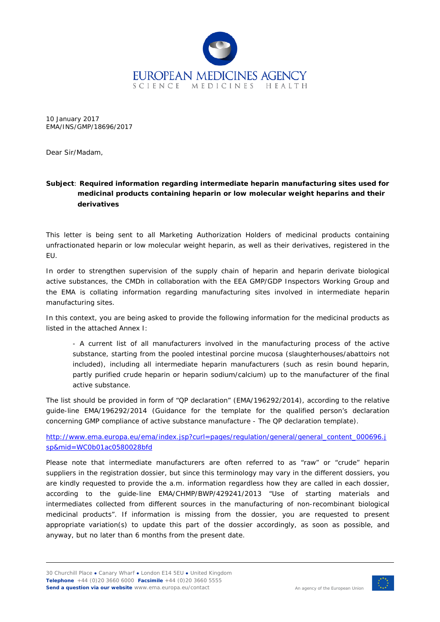

10 January 2017 EMA/INS/GMP/18696/2017

Dear Sir/Madam,

## **Subject**: **Required information regarding intermediate heparin manufacturing sites used for medicinal products containing heparin or low molecular weight heparins and their derivatives**

This letter is being sent to all Marketing Authorization Holders of medicinal products containing unfractionated heparin or low molecular weight heparin, as well as their derivatives, registered in the EU.

In order to strengthen supervision of the supply chain of heparin and heparin derivate biological active substances, the CMDh in collaboration with the EEA GMP/GDP Inspectors Working Group and the EMA is collating information regarding manufacturing sites involved in intermediate heparin manufacturing sites.

In this context, you are being asked to provide the following information for the medicinal products as listed in the attached Annex I:

- A current list of all manufacturers involved in the manufacturing process of the active substance, starting from the pooled intestinal porcine mucosa (slaughterhouses/abattoirs not included), including all intermediate heparin manufacturers (such as resin bound heparin, partly purified crude heparin or heparin sodium/calcium) up to the manufacturer of the final active substance.

The list should be provided in form of "QP declaration" (EMA/196292/2014), according to the relative guide-line EMA/196292/2014 (Guidance for the template for the qualified person's declaration concerning GMP compliance of active substance manufacture - The QP declaration template).

[http://www.ema.europa.eu/ema/index.jsp?curl=pages/regulation/general/general\\_content\\_000696.j](http://www.ema.europa.eu/ema/index.jsp?curl=pages/regulation/general/general_content_000696.jsp&mid=WC0b01ac0580028bfd) [sp&mid=WC0b01ac0580028bfd](http://www.ema.europa.eu/ema/index.jsp?curl=pages/regulation/general/general_content_000696.jsp&mid=WC0b01ac0580028bfd)

Please note that intermediate manufacturers are often referred to as "raw" or "crude" heparin suppliers in the registration dossier, but since this terminology may vary in the different dossiers, you are kindly requested to provide the a.m. information regardless how they are called in each dossier, according to the guide-line EMA/CHMP/BWP/429241/2013 *"Use of starting materials and intermediates collected from different sources in the manufacturing of non-recombinant biological medicinal products"*. If information is missing from the dossier, you are requested to present appropriate variation(s) to update this part of the dossier accordingly, as soon as possible, and anyway, but no later than 6 months from the present date.